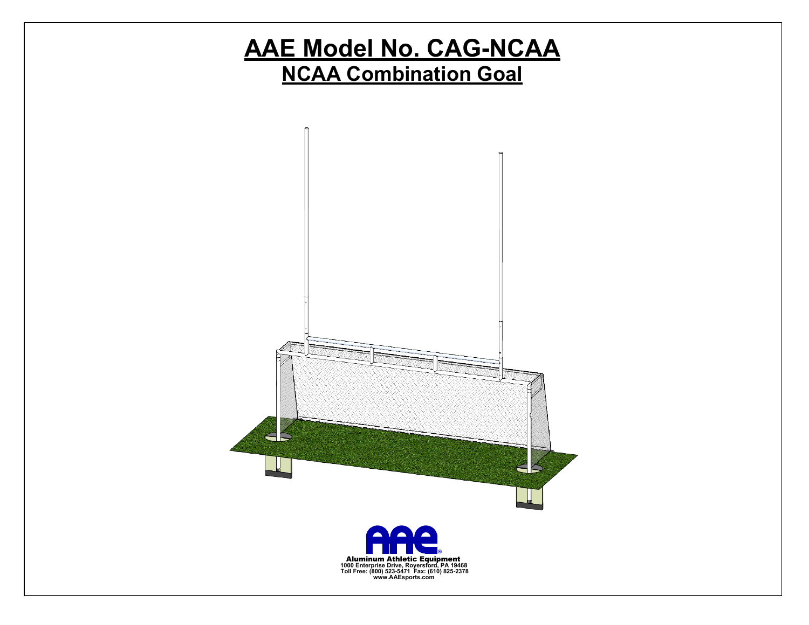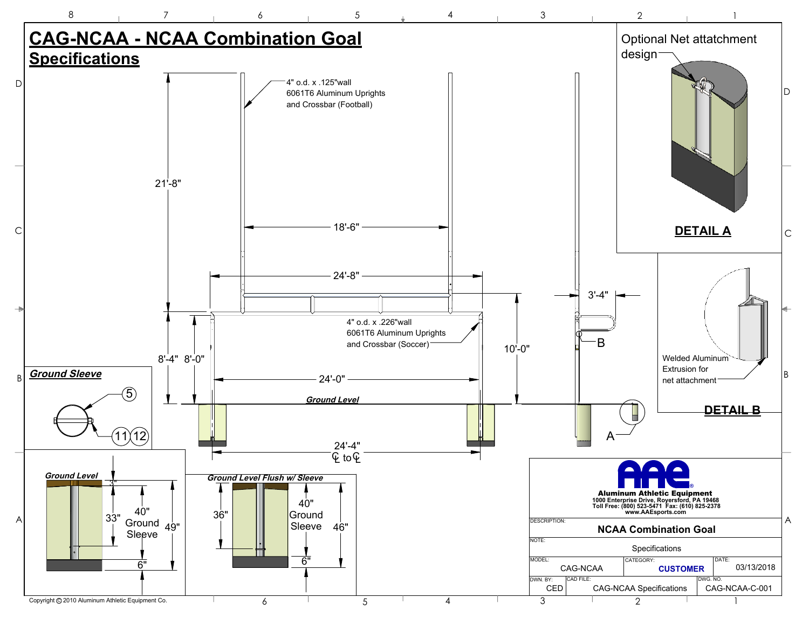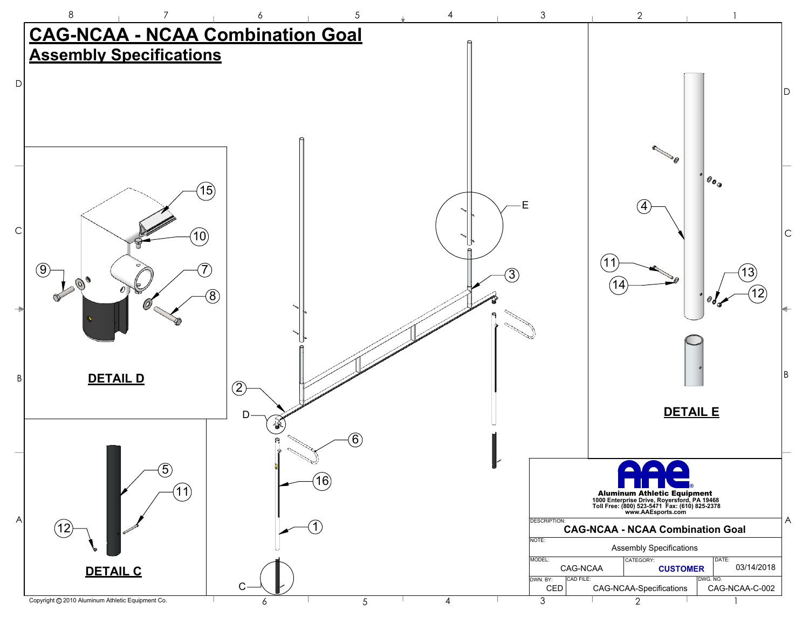